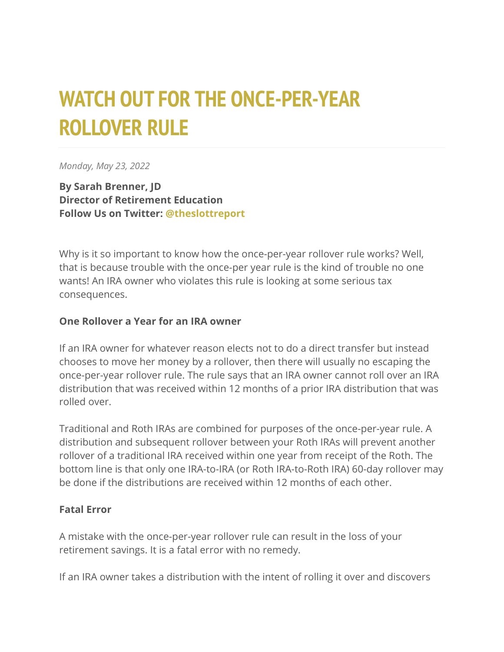## **WATCH OUT FOR THE ONCE-PER-YEAR ROLLOVER RULE**

*Monday, May 23, 2022*

**By Sarah Brenner, JD Director of Retirement Education Follow Us on Twitter: [@theslottreport](https://twitter.com/theslottreport)**

Why is it so important to know how the once-per-year rollover rule works? Well, that is because trouble with the once-per year rule is the kind of trouble no one wants! An IRA owner who violates this rule is looking at some serious tax consequences.

## **One Rollover a Year for an IRA owner**

If an IRA owner for whatever reason elects not to do a direct transfer but instead chooses to move her money by a rollover, then there will usually no escaping the once-per-year rollover rule. The rule says that an IRA owner cannot roll over an IRA distribution that was received within 12 months of a prior IRA distribution that was rolled over.

Traditional and Roth IRAs are combined for purposes of the once-per-year rule. A distribution and subsequent rollover between your Roth IRAs will prevent another rollover of a traditional IRA received within one year from receipt of the Roth. The bottom line is that only one IRA-to-IRA (or Roth IRA-to-Roth IRA) 60-day rollover may be done if the distributions are received within 12 months of each other.

## **Fatal Error**

A mistake with the once-per-year rollover rule can result in the loss of your retirement savings. It is a fatal error with no remedy.

If an IRA owner takes a distribution with the intent of rolling it over and discovers